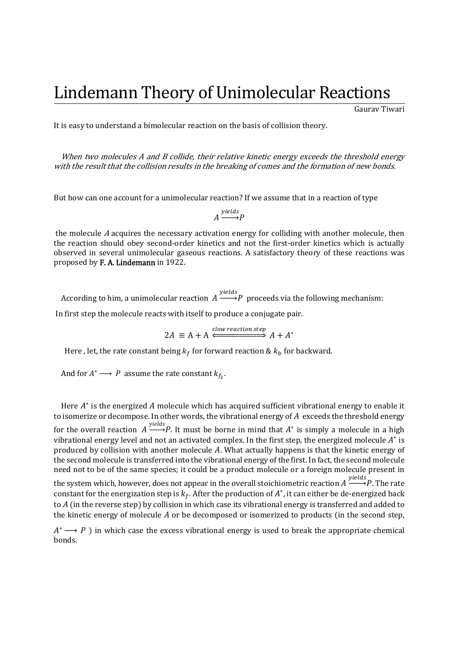## Lindemann Theory of Unimolecular Reactions

Gaurav Tiwari 

It is easy to understand a bimolecular reaction on the basis of collision theory.

When two molecules  $A$  and  $B$  collide, their relative kinetic energy exceeds the threshold energy with the result that the collision results in the breaking of comes and the formation of new bonds.

But how can one account for a unimolecular reaction? If we assume that in a reaction of type

$$
A \xrightarrow{yields} P
$$

the molecule A acquires the necessary activation energy for colliding with another molecule, then the reaction should obey second-order kinetics and not the first-order kinetics which is actually observed in several unimolecular gaseous reactions. A satisfactory theory of these reactions was proposed by F. A. Lindemann in 1922.

According to him, a unimolecular reaction  $A \xrightarrow{yields} P$  proceeds via the following mechanism:

In first step the molecule reacts with itself to produce a conjugate pair.

$$
2A \equiv A + A \xleftrightarrow{\text{slow reaction step}} A + A^*
$$

Here, let, the rate constant being  $k_f$  for forward reaction &  $k_h$  for backward.

And for  $A^* \longrightarrow P$  assume the rate constant  $k_{f_2}$ .

Here  $A^*$  is the energized A molecule which has acquired sufficient vibrational energy to enable it to isomerize or decompose. In other words, the vibrational energy of  $A$  exceeds the threshold energy for the overall reaction  $A \xrightarrow{yields} P$ . It must be borne in mind that  $A^*$  is simply a molecule in a high vibrational energy level and not an activated complex. In the first step, the energized molecule  $A^*$  is produced by collision with another molecule  $A$ . What actually happens is that the kinetic energy of the second molecule is transferred into the vibrational energy of the first. In fact, the second molecule need not to be of the same species; it could be a product molecule or a foreign molecule present in the system which, however, does not appear in the overall stoichiometric reaction  $A \longrightarrow P$ . The rate constant for the energization step is  $k_f$ . After the production of  $A^*$ , it can either be de-energized back to  $A$  (in the reverse step) by collision in which case its vibrational energy is transferred and added to

 $A^* \longrightarrow P$ ) in which case the excess vibrational energy is used to break the appropriate chemical bonds.

the kinetic energy of molecule A or be decomposed or isomerized to products (in the second step,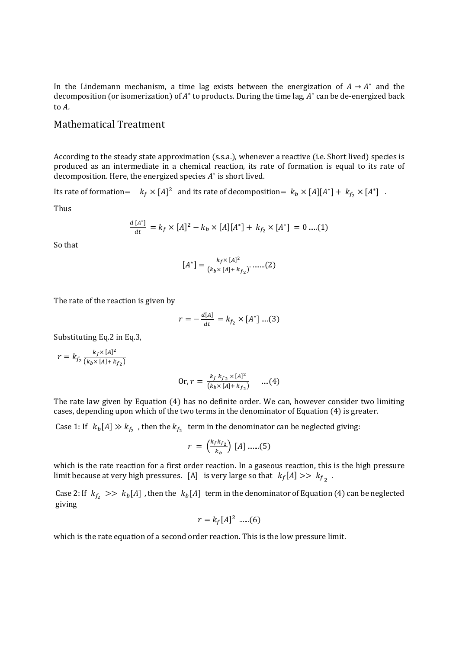In the Lindemann mechanism, a time lag exists between the energization of  $A \rightarrow A^*$  and the decomposition (or isomerization) of  $A^*$  to products. During the time lag,  $A^*$  can be de-energized back to  $A$ .

## Mathematical Treatment

According to the steady state approximation (s.s.a.), whenever a reactive (i.e. Short lived) species is produced as an intermediate in a chemical reaction, its rate of formation is equal to its rate of decomposition. Here, the energized species  $A^*$  is short lived.

Its rate of formation=  $k_f \times [A]^2$  and its rate of decomposition=  $k_b \times [A][A^*] + k_{f_2} \times [A^*]$ .

Thus

$$
\frac{d [A^*]}{dt} = k_f \times [A]^2 - k_b \times [A][A^*] + k_{f_2} \times [A^*] = 0 \dots (1)
$$

So that

$$
[A^*] = \frac{k_f \times [A]^2}{(k_b \times [A] + k_{f_2})} \dots (2)
$$

The rate of the reaction is given by

$$
r = -\frac{d[A]}{dt} = k_{f_2} \times [A^*] \dots (3)
$$

Substituting Eq.2 in Eq.3,

$$
r = k_{f_2} \frac{k_f \times [A]^2}{(k_b \times [A] + k_{f_2})}
$$
  
Or, 
$$
r = \frac{k_f k_{f_2} \times [A]^2}{(k_b \times [A] + k_{f_2})}
$$
 ....(4)

The rate law given by Equation (4) has no definite order. We can, however consider two limiting cases, depending upon which of the two terms in the denominator of Equation (4) is greater.

Case 1: If  $k_b[A] \gg k_{f_2}$ , then the  $k_{f_2}$  term in the denominator can be neglected giving:

$$
r = \left(\frac{k_f k_{f_2}}{k_b}\right) [A] \dots (5)
$$

which is the rate reaction for a first order reaction. In a gaseous reaction, this is the high pressure limit because at very high pressures. [A] is very large so that  $k_f[A] >> k_{f_2}$ .

Case 2: If  $k_{f_2} >> k_b[A]$ , then the  $k_b[A]$  term in the denominator of Equation (4) can be neglected giving

$$
r = kf[A]2 \dots (6)
$$

which is the rate equation of a second order reaction. This is the low pressure limit.